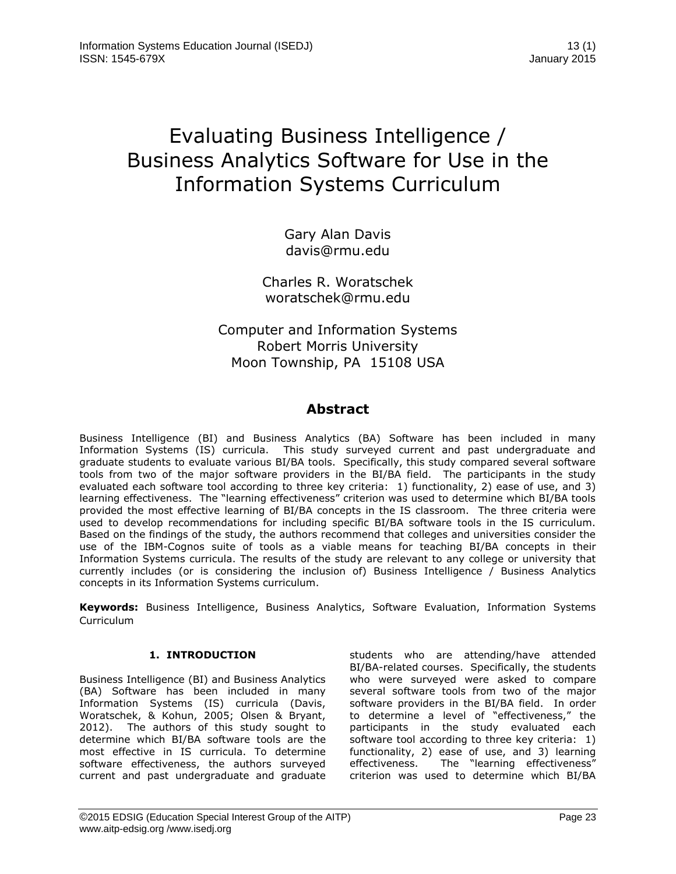# Evaluating Business Intelligence / Business Analytics Software for Use in the Information Systems Curriculum

Gary Alan Davis [davis@rmu.edu](mailto:davis@rmu.edu)

Charles R. Woratschek woratschek@rmu.edu

# Computer and Information Systems Robert Morris University Moon Township, PA 15108 USA

# **Abstract**

Business Intelligence (BI) and Business Analytics (BA) Software has been included in many Information Systems (IS) curricula. This study surveyed current and past undergraduate and graduate students to evaluate various BI/BA tools. Specifically, this study compared several software tools from two of the major software providers in the BI/BA field. The participants in the study evaluated each software tool according to three key criteria: 1) functionality, 2) ease of use, and 3) learning effectiveness. The "learning effectiveness" criterion was used to determine which BI/BA tools provided the most effective learning of BI/BA concepts in the IS classroom. The three criteria were used to develop recommendations for including specific BI/BA software tools in the IS curriculum. Based on the findings of the study, the authors recommend that colleges and universities consider the use of the IBM-Cognos suite of tools as a viable means for teaching BI/BA concepts in their Information Systems curricula. The results of the study are relevant to any college or university that currently includes (or is considering the inclusion of) Business Intelligence / Business Analytics concepts in its Information Systems curriculum.

**Keywords:** Business Intelligence, Business Analytics, Software Evaluation, Information Systems Curriculum

# **1. INTRODUCTION**

Business Intelligence (BI) and Business Analytics (BA) Software has been included in many Information Systems (IS) curricula (Davis, Woratschek, & Kohun, 2005; Olsen & Bryant, 2012). The authors of this study sought to determine which BI/BA software tools are the most effective in IS curricula. To determine software effectiveness, the authors surveyed current and past undergraduate and graduate students who are attending/have attended BI/BA-related courses. Specifically, the students who were surveyed were asked to compare several software tools from two of the major software providers in the BI/BA field. In order to determine a level of "effectiveness," the participants in the study evaluated each software tool according to three key criteria: 1) functionality, 2) ease of use, and 3) learning effectiveness. The "learning effectiveness" criterion was used to determine which BI/BA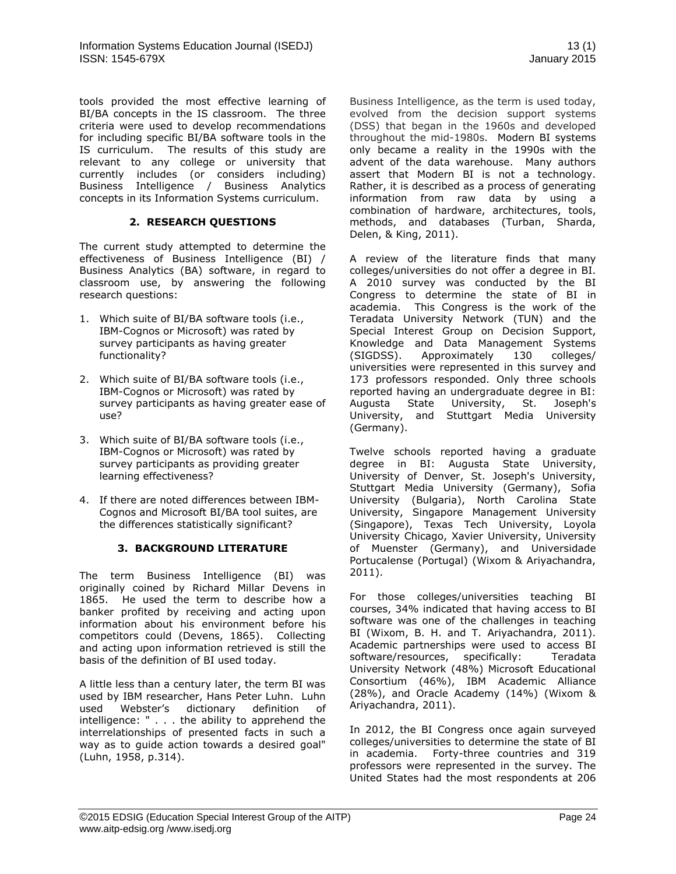tools provided the most effective learning of BI/BA concepts in the IS classroom. The three criteria were used to develop recommendations for including specific BI/BA software tools in the IS curriculum. The results of this study are relevant to any college or university that currently includes (or considers including) Business Intelligence / Business Analytics concepts in its Information Systems curriculum.

# **2. RESEARCH QUESTIONS**

The current study attempted to determine the effectiveness of Business Intelligence (BI) / Business Analytics (BA) software, in regard to classroom use, by answering the following research questions:

- 1. Which suite of BI/BA software tools (i.e., IBM-Cognos or Microsoft) was rated by survey participants as having greater functionality?
- 2. Which suite of BI/BA software tools (i.e., IBM-Cognos or Microsoft) was rated by survey participants as having greater ease of use?
- 3. Which suite of BI/BA software tools (i.e., IBM-Cognos or Microsoft) was rated by survey participants as providing greater learning effectiveness?
- 4. If there are noted differences between IBM-Cognos and Microsoft BI/BA tool suites, are the differences statistically significant?

# **3. BACKGROUND LITERATURE**

The term Business Intelligence (BI) was originally coined by Richard Millar Devens in 1865. He used the term to describe how a banker profited by receiving and acting upon information about his environment before his competitors could (Devens, 1865). Collecting and acting upon information retrieved is still the basis of the definition of BI used today.

A little less than a century later, the term BI was used by IBM researcher, Hans Peter Luhn. Luhn used Webster's dictionary definition of intelligence: " . . . the ability to apprehend the interrelationships of presented facts in such a way as to guide action towards a desired goal" (Luhn, 1958, p.314).

Business Intelligence, as the term is used today, evolved from the decision support systems (DSS) that began in the 1960s and developed throughout the mid-1980s. Modern BI systems only became a reality in the 1990s with the advent of the data warehouse. Many authors assert that Modern BI is not a technology. Rather, it is described as a process of generating information from raw data by using a combination of hardware, architectures, tools, methods, and databases (Turban, Sharda, Delen, & King, 2011).

A review of the literature finds that many colleges/universities do not offer a degree in BI. A 2010 survey was conducted by the BI Congress to determine the state of BI in academia. This Congress is the work of the Teradata University Network (TUN) and the Special Interest Group on Decision Support, Knowledge and Data Management Systems (SIGDSS). Approximately 130 colleges/ universities were represented in this survey and 173 professors responded. Only three schools reported having an undergraduate degree in BI: Augusta State University, St. Joseph's University, and Stuttgart Media University (Germany).

Twelve schools reported having a graduate degree in BI: Augusta State University, University of Denver, St. Joseph's University, Stuttgart Media University (Germany), Sofia University (Bulgaria), North Carolina State University, Singapore Management University (Singapore), Texas Tech University, Loyola University Chicago, Xavier University, University of Muenster (Germany), and Universidade Portucalense (Portugal) (Wixom & Ariyachandra, 2011).

For those colleges/universities teaching BI courses, 34% indicated that having access to BI software was one of the challenges in teaching BI (Wixom, B. H. and T. Ariyachandra, 2011). Academic partnerships were used to access BI software/resources, specifically: Teradata University Network (48%) Microsoft Educational Consortium (46%), IBM Academic Alliance (28%), and Oracle Academy (14%) (Wixom & Ariyachandra, 2011).

In 2012, the BI Congress once again surveyed colleges/universities to determine the state of BI in academia. Forty-three countries and 319 professors were represented in the survey. The United States had the most respondents at 206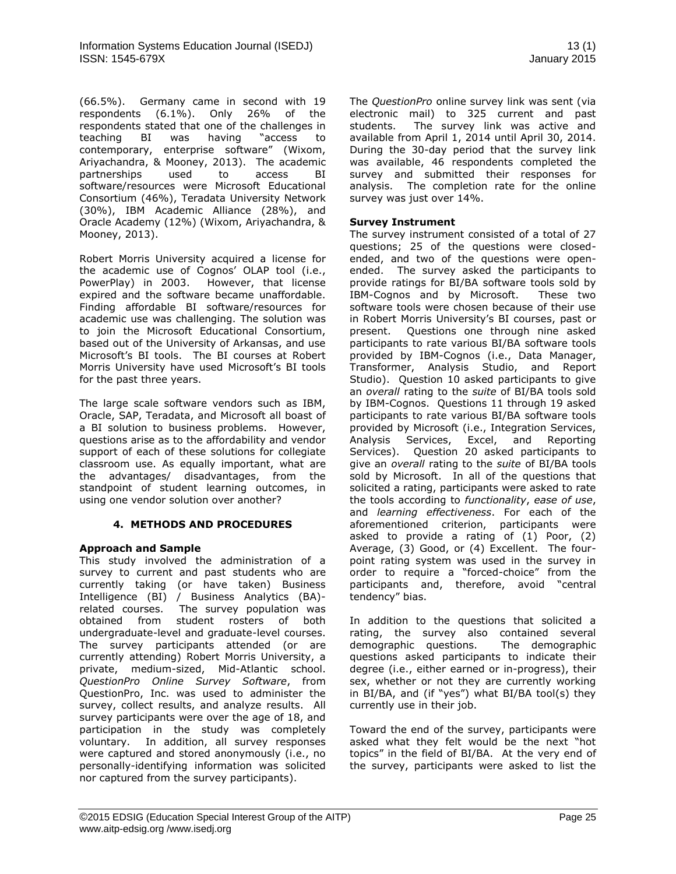(66.5%). Germany came in second with 19 respondents (6.1%). Only 26% of the respondents stated that one of the challenges in teaching BI was having "access to contemporary, enterprise software" (Wixom, Ariyachandra, & Mooney, 2013). The academic partnerships used to access BI software/resources were Microsoft Educational Consortium (46%), Teradata University Network (30%), IBM Academic Alliance (28%), and Oracle Academy (12%) (Wixom, Ariyachandra, & Mooney, 2013).

Robert Morris University acquired a license for the academic use of Cognos' OLAP tool (i.e., PowerPlay) in 2003. However, that license expired and the software became unaffordable. Finding affordable BI software/resources for academic use was challenging. The solution was to join the Microsoft Educational Consortium, based out of the University of Arkansas, and use Microsoft's BI tools. The BI courses at Robert Morris University have used Microsoft's BI tools for the past three years.

The large scale software vendors such as IBM, Oracle, SAP, Teradata, and Microsoft all boast of a BI solution to business problems. However, questions arise as to the affordability and vendor support of each of these solutions for collegiate classroom use. As equally important, what are the advantages/ disadvantages, from the standpoint of student learning outcomes, in using one vendor solution over another?

# **4. METHODS AND PROCEDURES**

# **Approach and Sample**

This study involved the administration of a survey to current and past students who are currently taking (or have taken) Business Intelligence (BI) / Business Analytics (BA) related courses. The survey population was obtained from student rosters of both undergraduate-level and graduate-level courses. The survey participants attended (or are currently attending) Robert Morris University, a private, medium-sized, Mid-Atlantic school. *QuestionPro Online Survey Software*, from QuestionPro, Inc. was used to administer the survey, collect results, and analyze results. All survey participants were over the age of 18, and participation in the study was completely voluntary. In addition, all survey responses were captured and stored anonymously (i.e., no personally-identifying information was solicited nor captured from the survey participants).

The *QuestionPro* online survey link was sent (via electronic mail) to 325 current and past students. The survey link was active and available from April 1, 2014 until April 30, 2014. During the 30-day period that the survey link was available, 46 respondents completed the survey and submitted their responses for analysis. The completion rate for the online survey was just over 14%.

# **Survey Instrument**

The survey instrument consisted of a total of 27 questions; 25 of the questions were closedended, and two of the questions were openended. The survey asked the participants to provide ratings for BI/BA software tools sold by IBM-Cognos and by Microsoft. These two software tools were chosen because of their use in Robert Morris University's BI courses, past or present. Questions one through nine asked participants to rate various BI/BA software tools provided by IBM-Cognos (i.e., Data Manager, Transformer, Analysis Studio, and Report Studio). Question 10 asked participants to give an *overall* rating to the *suite* of BI/BA tools sold by IBM-Cognos. Questions 11 through 19 asked participants to rate various BI/BA software tools provided by Microsoft (i.e., Integration Services, Analysis Services, Excel, and Reporting Services). Question 20 asked participants to give an *overall* rating to the *suite* of BI/BA tools sold by Microsoft. In all of the questions that solicited a rating, participants were asked to rate the tools according to *functionality*, *ease of use*, and *learning effectiveness*. For each of the aforementioned criterion, participants were asked to provide a rating of (1) Poor, (2) Average, (3) Good, or (4) Excellent. The fourpoint rating system was used in the survey in order to require a "forced-choice" from the participants and, therefore, avoid "central tendency" bias.

In addition to the questions that solicited a rating, the survey also contained several demographic questions. The demographic questions asked participants to indicate their degree (i.e., either earned or in-progress), their sex, whether or not they are currently working in BI/BA, and (if "yes") what BI/BA tool(s) they currently use in their job.

Toward the end of the survey, participants were asked what they felt would be the next "hot topics" in the field of BI/BA. At the very end of the survey, participants were asked to list the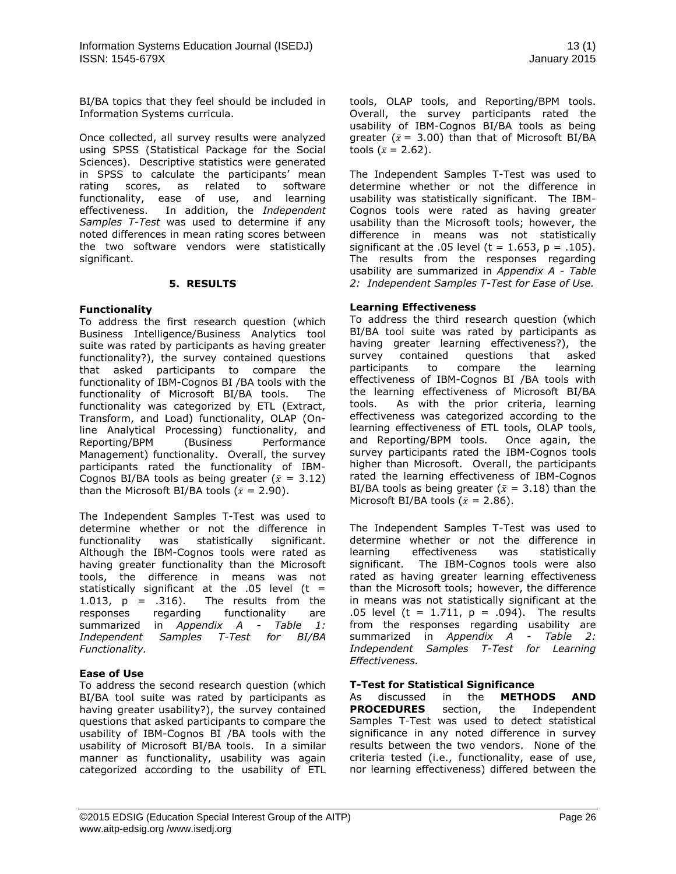BI/BA topics that they feel should be included in Information Systems curricula.

Once collected, all survey results were analyzed using SPSS (Statistical Package for the Social Sciences). Descriptive statistics were generated in SPSS to calculate the participants' mean rating scores, as related to software functionality, ease of use, and learning effectiveness. In addition, the *Independent Samples T-Test* was used to determine if any noted differences in mean rating scores between the two software vendors were statistically significant.

# **5. RESULTS**

# **Functionality**

To address the first research question (which Business Intelligence/Business Analytics tool suite was rated by participants as having greater functionality?), the survey contained questions that asked participants to compare the functionality of IBM-Cognos BI /BA tools with the functionality of Microsoft BI/BA tools. The functionality was categorized by ETL (Extract, Transform, and Load) functionality, OLAP (Online Analytical Processing) functionality, and Reporting/BPM (Business Performance Management) functionality. Overall, the survey participants rated the functionality of IBM-Cognos BI/BA tools as being greater ( $\bar{x} = 3.12$ ) than the Microsoft BI/BA tools ( $\bar{x}$  = 2.90).

The Independent Samples T-Test was used to determine whether or not the difference in functionality was statistically significant. Although the IBM-Cognos tools were rated as having greater functionality than the Microsoft tools, the difference in means was not statistically significant at the .05 level ( $t =$ 1.013,  $p = .316$ ). The results from the responses regarding functionality are summarized in *Appendix A - Table 1: Independent Samples T-Test for BI/BA Functionality.*

# **Ease of Use**

To address the second research question (which BI/BA tool suite was rated by participants as having greater usability?), the survey contained questions that asked participants to compare the usability of IBM-Cognos BI /BA tools with the usability of Microsoft BI/BA tools. In a similar manner as functionality, usability was again categorized according to the usability of ETL tools, OLAP tools, and Reporting/BPM tools. Overall, the survey participants rated the usability of IBM-Cognos BI/BA tools as being greater ( $\bar{x}$  = 3.00) than that of Microsoft BI/BA tools ( $\bar{x}$  = 2.62).

The Independent Samples T-Test was used to determine whether or not the difference in usability was statistically significant. The IBM-Cognos tools were rated as having greater usability than the Microsoft tools; however, the difference in means was not statistically significant at the .05 level ( $t = 1.653$ ,  $p = .105$ ). The results from the responses regarding usability are summarized in *Appendix A - Table 2: Independent Samples T-Test for Ease of Use.*

# **Learning Effectiveness**

To address the third research question (which BI/BA tool suite was rated by participants as having greater learning effectiveness?), the survey contained questions that asked participants to compare the learning effectiveness of IBM-Cognos BI /BA tools with the learning effectiveness of Microsoft BI/BA tools. As with the prior criteria, learning effectiveness was categorized according to the learning effectiveness of ETL tools, OLAP tools, and Reporting/BPM tools. Once again, the survey participants rated the IBM-Cognos tools higher than Microsoft. Overall, the participants rated the learning effectiveness of IBM-Cognos BI/BA tools as being greater ( $\bar{x}$  = 3.18) than the Microsoft BI/BA tools ( $\bar{x}$  = 2.86).

The Independent Samples T-Test was used to determine whether or not the difference in learning effectiveness was statistically significant. The IBM-Cognos tools were also rated as having greater learning effectiveness than the Microsoft tools; however, the difference in means was not statistically significant at the .05 level (t = 1.711,  $p = .094$ ). The results from the responses regarding usability are summarized in *Appendix A - Table 2: Independent Samples T-Test for Learning Effectiveness.*

# **T-Test for Statistical Significance**

As discussed in the **METHODS AND PROCEDURES** section, the Independent Samples T-Test was used to detect statistical significance in any noted difference in survey results between the two vendors. None of the criteria tested (i.e., functionality, ease of use, nor learning effectiveness) differed between the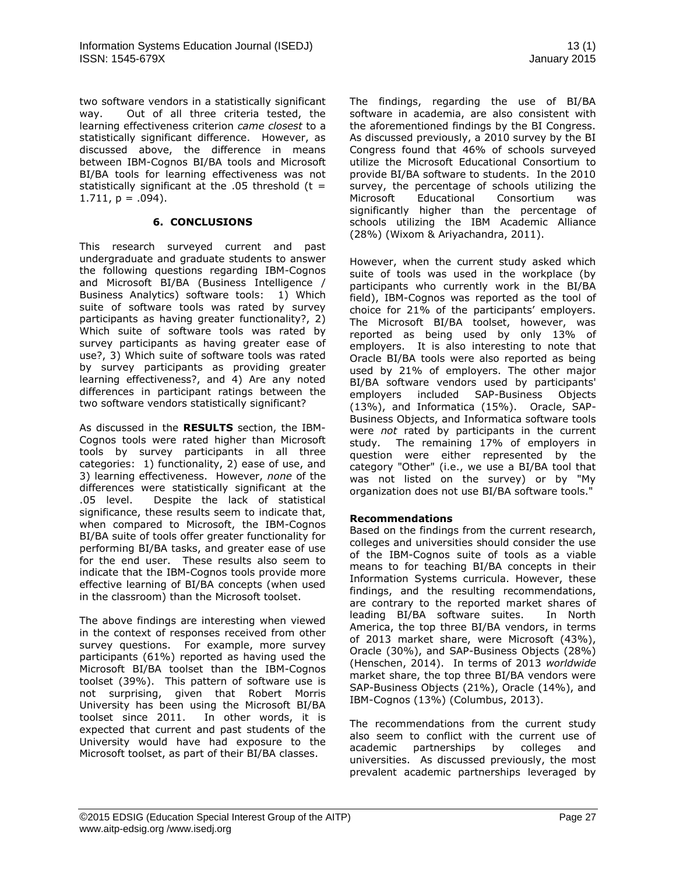two software vendors in a statistically significant way. Out of all three criteria tested, the learning effectiveness criterion *came closest* to a statistically significant difference. However, as discussed above, the difference in means between IBM-Cognos BI/BA tools and Microsoft BI/BA tools for learning effectiveness was not statistically significant at the  $.05$  threshold (t =  $1.711$ ,  $p = .094$ ).

# **6. CONCLUSIONS**

This research surveyed current and past undergraduate and graduate students to answer the following questions regarding IBM-Cognos and Microsoft BI/BA (Business Intelligence / Business Analytics) software tools: 1) Which suite of software tools was rated by survey participants as having greater functionality?, 2) Which suite of software tools was rated by survey participants as having greater ease of use?, 3) Which suite of software tools was rated by survey participants as providing greater learning effectiveness?, and 4) Are any noted differences in participant ratings between the two software vendors statistically significant?

As discussed in the **RESULTS** section, the IBM-Cognos tools were rated higher than Microsoft tools by survey participants in all three categories: 1) functionality, 2) ease of use, and 3) learning effectiveness. However, *none* of the differences were statistically significant at the .05 level. Despite the lack of statistical significance, these results seem to indicate that, when compared to Microsoft, the IBM-Cognos BI/BA suite of tools offer greater functionality for performing BI/BA tasks, and greater ease of use for the end user. These results also seem to indicate that the IBM-Cognos tools provide more effective learning of BI/BA concepts (when used in the classroom) than the Microsoft toolset.

The above findings are interesting when viewed in the context of responses received from other survey questions. For example, more survey participants (61%) reported as having used the Microsoft BI/BA toolset than the IBM-Cognos toolset (39%). This pattern of software use is not surprising, given that Robert Morris University has been using the Microsoft BI/BA toolset since 2011. In other words, it is expected that current and past students of the University would have had exposure to the Microsoft toolset, as part of their BI/BA classes.

The findings, regarding the use of BI/BA software in academia, are also consistent with the aforementioned findings by the BI Congress. As discussed previously, a 2010 survey by the BI Congress found that 46% of schools surveyed utilize the Microsoft Educational Consortium to provide BI/BA software to students. In the 2010 survey, the percentage of schools utilizing the Microsoft Educational Consortium was significantly higher than the percentage of schools utilizing the IBM Academic Alliance (28%) (Wixom & Ariyachandra, 2011).

However, when the current study asked which suite of tools was used in the workplace (by participants who currently work in the BI/BA field), IBM-Cognos was reported as the tool of choice for 21% of the participants' employers. The Microsoft BI/BA toolset, however, was reported as being used by only 13% of employers. It is also interesting to note that Oracle BI/BA tools were also reported as being used by 21% of employers. The other major BI/BA software vendors used by participants' employers included SAP-Business Objects (13%), and Informatica (15%). Oracle, SAP-Business Objects, and Informatica software tools were *not* rated by participants in the current study. The remaining 17% of employers in question were either represented by the category "Other" (i.e., we use a BI/BA tool that was not listed on the survey) or by "My organization does not use BI/BA software tools."

# **Recommendations**

Based on the findings from the current research, colleges and universities should consider the use of the IBM-Cognos suite of tools as a viable means to for teaching BI/BA concepts in their Information Systems curricula. However, these findings, and the resulting recommendations, are contrary to the reported market shares of leading BI/BA software suites. In North America, the top three BI/BA vendors, in terms of 2013 market share, were Microsoft (43%), Oracle (30%), and SAP-Business Objects (28%) (Henschen, 2014). In terms of 2013 *worldwide* market share, the top three BI/BA vendors were SAP-Business Objects (21%), Oracle (14%), and IBM-Cognos (13%) (Columbus, 2013).

The recommendations from the current study also seem to conflict with the current use of academic partnerships by colleges and universities. As discussed previously, the most prevalent academic partnerships leveraged by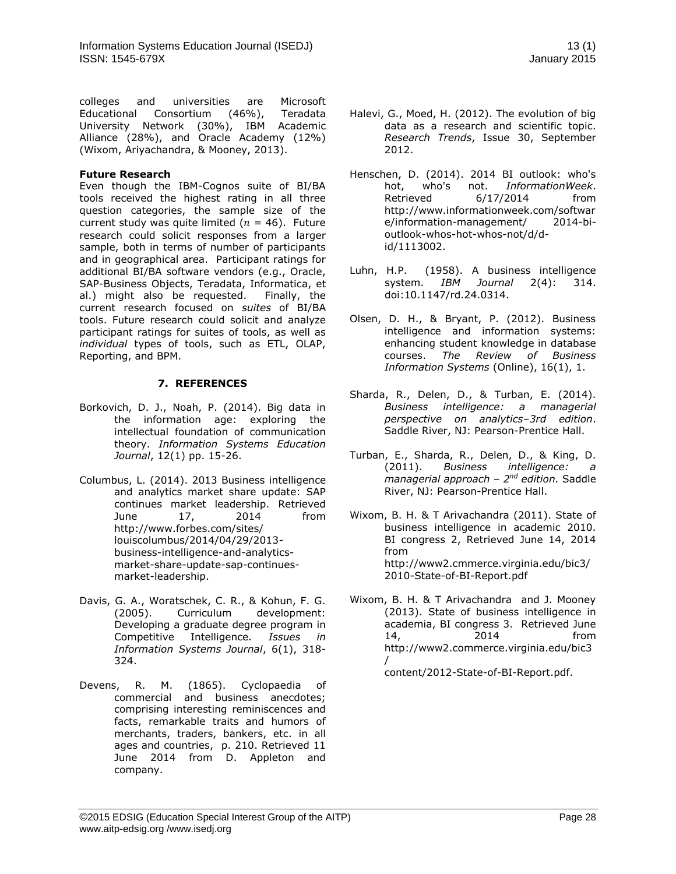colleges and universities are Microsoft Educational Consortium (46%), Teradata University Network (30%), IBM Academic Alliance (28%), and Oracle Academy (12%) (Wixom, Ariyachandra, & Mooney, 2013).

# **Future Research**

Even though the IBM-Cognos suite of BI/BA tools received the highest rating in all three question categories, the sample size of the current study was quite limited ( $n = 46$ ). Future research could solicit responses from a larger sample, both in terms of number of participants and in geographical area. Participant ratings for additional BI/BA software vendors (e.g., Oracle, SAP-Business Objects, Teradata, Informatica, et al.) might also be requested. Finally, the current research focused on *suites* of BI/BA tools. Future research could solicit and analyze participant ratings for suites of tools, as well as *individual* types of tools, such as ETL, OLAP, Reporting, and BPM.

# **7. REFERENCES**

- Borkovich, D. J., Noah, P. (2014). Big data in the information age: exploring the intellectual foundation of communication theory. *Information Systems Education Journal*, 12(1) pp. 15-26.
- Columbus, L. (2014). 2013 Business intelligence and analytics market share update: SAP continues market leadership. Retrieved June 17, 2014 from http://www.forbes.com/sites/ louiscolumbus/2014/04/29/2013 business-intelligence-and-analyticsmarket-share-update-sap-continuesmarket-leadership.
- Davis, G. A., Woratschek, C. R., & Kohun, F. G.<br>(2005). Curriculum development: Curriculum development: Developing a graduate degree program in Competitive Intelligence. *Issues in Information Systems Journal*, 6(1), 318- 324.
- Devens, R. M. (1865). [Cyclopaedia of](http://books.google.dk/books?id=9MspAAAAYAAJ&pg=PA210&dq=%22business+intelligence%22&hl=en&ei=a5EPTdaRIsOWnAeVyYHQDg&sa=X&oi=book_result&ct=result&redir_esc=y#v=onepage&q=%22business%20intelligence%22&f=false)  [commercial and business anecdotes;](http://books.google.dk/books?id=9MspAAAAYAAJ&pg=PA210&dq=%22business+intelligence%22&hl=en&ei=a5EPTdaRIsOWnAeVyYHQDg&sa=X&oi=book_result&ct=result&redir_esc=y#v=onepage&q=%22business%20intelligence%22&f=false)  [comprising interesting reminiscences and](http://books.google.dk/books?id=9MspAAAAYAAJ&pg=PA210&dq=%22business+intelligence%22&hl=en&ei=a5EPTdaRIsOWnAeVyYHQDg&sa=X&oi=book_result&ct=result&redir_esc=y#v=onepage&q=%22business%20intelligence%22&f=false)  [facts, remarkable traits and humors of](http://books.google.dk/books?id=9MspAAAAYAAJ&pg=PA210&dq=%22business+intelligence%22&hl=en&ei=a5EPTdaRIsOWnAeVyYHQDg&sa=X&oi=book_result&ct=result&redir_esc=y#v=onepage&q=%22business%20intelligence%22&f=false)  [merchants, traders, bankers, etc. in all](http://books.google.dk/books?id=9MspAAAAYAAJ&pg=PA210&dq=%22business+intelligence%22&hl=en&ei=a5EPTdaRIsOWnAeVyYHQDg&sa=X&oi=book_result&ct=result&redir_esc=y#v=onepage&q=%22business%20intelligence%22&f=false)  [ages and countries,](http://books.google.dk/books?id=9MspAAAAYAAJ&pg=PA210&dq=%22business+intelligence%22&hl=en&ei=a5EPTdaRIsOWnAeVyYHQDg&sa=X&oi=book_result&ct=result&redir_esc=y#v=onepage&q=%22business%20intelligence%22&f=false) p. 210. Retrieved 11 June 2014 from D. Appleton and company.
- Halevi, G., Moed, H. (2012). The evolution of big data as a research and scientific topic. *Research Trends*, Issue 30, September 2012.
- Henschen, D. (2014). 2014 BI outlook: who's hot, who's not. *InformationWeek*. Retrieved 6/17/2014 from [http://www.informationweek.com/softwar](http://www.informationweek.com/software/information-management/) [e/information-management/](http://www.informationweek.com/software/information-management/) outlook-whos-hot-whos-not/d/did/1113002.
- [Luhn,](http://en.wikipedia.org/wiki/Hans_Peter_Luhn) H.P. (1958). [A business intelligence](http://www.research.ibm.com/journal/rd/024/ibmrd0204H.pdf)  [system.](http://www.research.ibm.com/journal/rd/024/ibmrd0204H.pdf) *IBM Journal* 2(4): 314. [doi](http://en.wikipedia.org/wiki/Digital_object_identifier)[:10.1147/rd.24.0314.](http://dx.doi.org/10.1147%2Frd.24.0314)
- Olsen, D. H., & Bryant, P. (2012). Business intelligence and information systems: enhancing student knowledge in database courses. *The Review of Business Information Systems* (Online), 16(1), 1.
- Sharda, R., Delen, D., & Turban, E. (2014). *Business intelligence: a managerial perspective on analytics–3rd edition*. Saddle River, NJ: Pearson-Prentice Hall.
- Turban, E., Sharda, R., Delen, D., & King, D.<br>(2011). Business intelligence: a (2011). *Business intelligence: a managerial approach – 2<sup>nd</sup> edition.* Saddle River, NJ: Pearson-Prentice Hall.
- Wixom, B. H. & T Arivachandra (2011). State of business intelligence in academic 2010. BI congress 2, Retrieved June 14, 2014 from [http://www2.cmmerce.virginia.edu/bic3/](http://www2.cmmerce.virginia.edu/bic3/2010-State-of-BI-Report.pdf) [2010-State-of-BI-Report.pdf](http://www2.cmmerce.virginia.edu/bic3/2010-State-of-BI-Report.pdf)
- Wixom, B. H. & T Arivachandra and J. Mooney (2013). State of business intelligence in academia, BI congress 3. Retrieved June 14, 2014 from http://www2.commerce.virginia.edu/bic3 / content/2012-State-of-BI-Report.pdf.